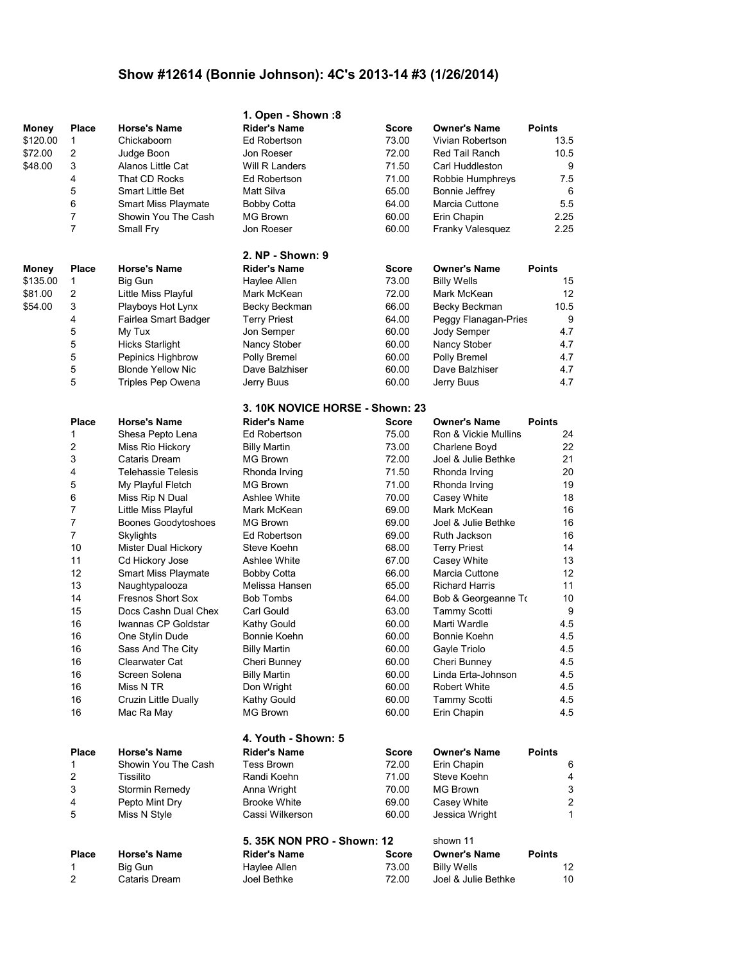## **Show #12614 (Bonnie Johnson): 4C's 2013-14 #3 (1/26/2014)**

|          |                         |                            | 1. Open - Shown:8                      |              |                       |               |
|----------|-------------------------|----------------------------|----------------------------------------|--------------|-----------------------|---------------|
| Money    | <b>Place</b>            | <b>Horse's Name</b>        | <b>Rider's Name</b>                    | Score        | <b>Owner's Name</b>   | <b>Points</b> |
| \$120.00 | 1                       | Chickaboom                 | Ed Robertson                           | 73.00        | Vivian Robertson      | 13.5          |
| \$72.00  | $\overline{\mathbf{c}}$ | Judge Boon                 | Jon Roeser                             | 72.00        | Red Tail Ranch        | 10.5          |
| \$48.00  | 3                       | Alanos Little Cat          | Will R Landers                         | 71.50        | Carl Huddleston       | 9             |
|          | 4                       | That CD Rocks              | Ed Robertson                           | 71.00        | Robbie Humphreys      | 7.5           |
|          | 5                       | <b>Smart Little Bet</b>    | Matt Silva                             | 65.00        | Bonnie Jeffrey        | 6             |
|          | 6                       | <b>Smart Miss Playmate</b> | <b>Bobby Cotta</b>                     | 64.00        | Marcia Cuttone        | 5.5           |
|          | 7                       | Showin You The Cash        | MG Brown                               | 60.00        | Erin Chapin           | 2.25          |
|          | $\overline{7}$          | Small Fry                  | Jon Roeser                             | 60.00        | Franky Valesquez      | 2.25          |
|          |                         |                            | 2. NP - Shown: 9                       |              |                       |               |
| Money    | Place                   | <b>Horse's Name</b>        | <b>Rider's Name</b>                    | <b>Score</b> | <b>Owner's Name</b>   | <b>Points</b> |
| \$135.00 | 1                       | Big Gun                    | Haylee Allen                           | 73.00        | <b>Billy Wells</b>    | 15            |
| \$81.00  | 2                       | Little Miss Playful        | Mark McKean                            | 72.00        | Mark McKean           | 12            |
| \$54.00  | 3                       | Playboys Hot Lynx          | Becky Beckman                          | 66.00        | Becky Beckman         | 10.5          |
|          | 4                       | Fairlea Smart Badger       | <b>Terry Priest</b>                    | 64.00        | Peggy Flanagan-Pries  | 9             |
|          | 5                       | My Tux                     | Jon Semper                             | 60.00        | Jody Semper           | 4.7           |
|          | 5                       | <b>Hicks Starlight</b>     | Nancy Stober                           | 60.00        | Nancy Stober          | 4.7           |
|          | 5                       | Pepinics Highbrow          | Polly Bremel                           | 60.00        | Polly Bremel          | 4.7           |
|          | 5                       | <b>Blonde Yellow Nic</b>   | Dave Balzhiser                         | 60.00        | Dave Balzhiser        | 4.7           |
|          | 5                       | Triples Pep Owena          | Jerry Buus                             | 60.00        | Jerry Buus            | 4.7           |
|          |                         |                            | <b>3. 10K NOVICE HORSE - Shown: 23</b> |              |                       |               |
|          | <b>Place</b>            | <b>Horse's Name</b>        | <b>Rider's Name</b>                    | <b>Score</b> | <b>Owner's Name</b>   | <b>Points</b> |
|          | 1                       | Shesa Pepto Lena           | Ed Robertson                           | 75.00        | Ron & Vickie Mullins  | 24            |
|          | 2                       | Miss Rio Hickory           | <b>Billy Martin</b>                    | 73.00        | Charlene Boyd         | 22            |
|          | 3                       | Cataris Dream              | <b>MG Brown</b>                        | 72.00        | Joel & Julie Bethke   | 21            |
|          | 4                       | <b>Telehassie Telesis</b>  | Rhonda Irving                          | 71.50        | Rhonda Irving         | 20            |
|          | 5                       | My Playful Fletch          | <b>MG Brown</b>                        | 71.00        | Rhonda Irving         | 19            |
|          | 6                       | Miss Rip N Dual            | Ashlee White                           | 70.00        | Casey White           | 18            |
|          | 7                       | Little Miss Playful        | Mark McKean                            | 69.00        | Mark McKean           | 16            |
|          | 7                       | Boones Goodytoshoes        | <b>MG Brown</b>                        | 69.00        | Joel & Julie Bethke   | 16            |
|          | 7                       | Skylights                  | Ed Robertson                           | 69.00        | Ruth Jackson          | 16            |
|          | 10                      | Mister Dual Hickory        | Steve Koehn                            | 68.00        | <b>Terry Priest</b>   | 14            |
|          | 11                      | Cd Hickory Jose            | Ashlee White                           | 67.00        | Casey White           | 13            |
|          | 12                      | <b>Smart Miss Playmate</b> | Bobby Cotta                            | 66.00        | Marcia Cuttone        | 12            |
|          | 13                      | Naughtypalooza             | Melissa Hansen                         | 65.00        | <b>Richard Harris</b> | 11            |
|          | 14                      | <b>Fresnos Short Sox</b>   | <b>Bob Tombs</b>                       | 64.00        | Bob & Georgeanne To   | 10            |
|          | 15                      | Docs Cashn Dual Chex       | Carl Gould                             | 63.00        | <b>Tammy Scotti</b>   | 9             |
|          | 16                      | Iwannas CP Goldstar        | Kathy Gould                            | 60.00        | Marti Wardle          | 4.5           |
|          | 16                      | One Stylin Dude            | Bonnie Koehn                           | 60.00        | Bonnie Koehn          | 4.5           |
|          | 16                      | Sass And The City          | <b>Billy Martin</b>                    | 60.00        | Gayle Triolo          | 4.5           |
|          | 16                      | Clearwater Cat             | Cheri Bunney                           | 60.00        | Cheri Bunney          | 4.5           |
|          | 16                      | Screen Solena              | <b>Billy Martin</b>                    | 60.00        | Linda Erta-Johnson    | 4.5           |
|          | 16                      | Miss N TR                  | Don Wright                             | 60.00        | <b>Robert White</b>   | 4.5           |
|          | 16                      | Cruzin Little Dually       | Kathy Gould                            | 60.00        | <b>Tammy Scotti</b>   | 4.5           |
|          | 16                      | Mac Ra May                 | <b>MG Brown</b>                        | 60.00        | Erin Chapin           | 4.5           |
|          |                         |                            | 4. Youth - Shown: 5                    |              |                       |               |
|          | <b>Place</b>            | <b>Horse's Name</b>        | <b>Rider's Name</b>                    | Score        | <b>Owner's Name</b>   | <b>Points</b> |
|          | 1                       | Showin You The Cash        | <b>Tess Brown</b>                      | 72.00        | Erin Chapin           | 6             |
|          | 2                       | Tissilito                  | Randi Koehn                            | 71.00        | Steve Koehn           | 4             |
|          | 3                       | Stormin Remedy             | Anna Wright                            | 70.00        | <b>MG Brown</b>       | $\sqrt{3}$    |
|          | 4                       | Pepto Mint Dry             | <b>Brooke White</b>                    | 69.00        | Casey White           | $\sqrt{2}$    |
|          | 5                       | Miss N Style               | Cassi Wilkerson                        | 60.00        | Jessica Wright        | $\mathbf{1}$  |
|          |                         |                            | 5.35K NON PRO - Shown: 12              |              | shown 11              |               |
|          | <b>Place</b>            | <b>Horse's Name</b>        | <b>Rider's Name</b>                    | <b>Score</b> | <b>Owner's Name</b>   | <b>Points</b> |
|          | 1                       | Big Gun                    | Haylee Allen                           | 73.00        | <b>Billy Wells</b>    | 12            |
|          | 2                       | Cataris Dream              | Joel Bethke                            | 72.00        | Joel & Julie Bethke   | 10            |
|          |                         |                            |                                        |              |                       |               |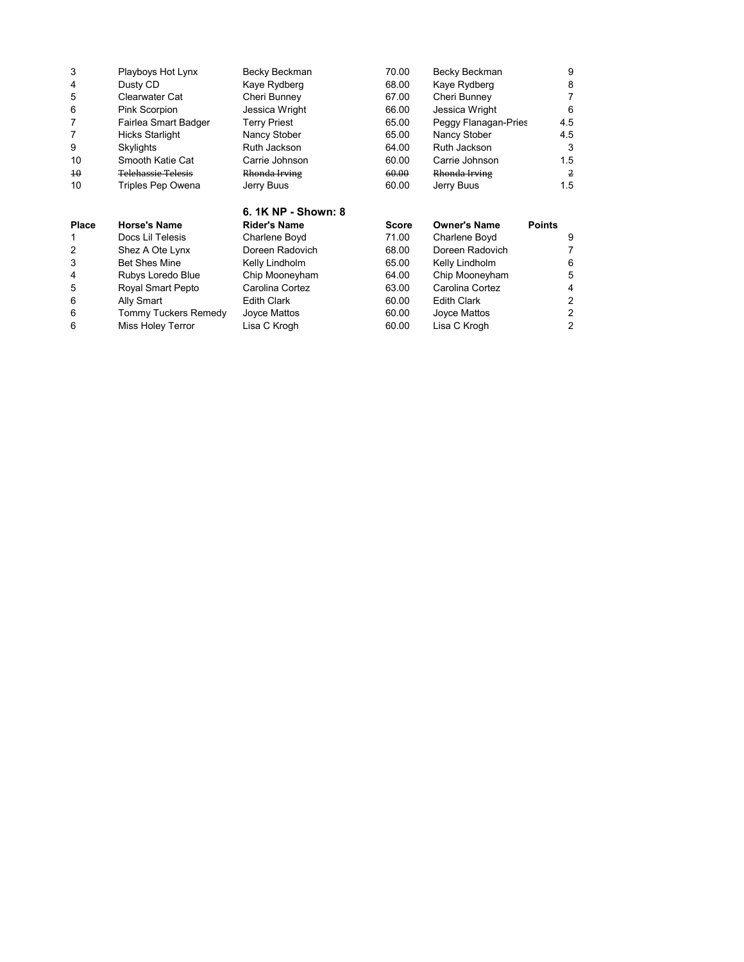| <b>Place</b> | <b>Horse's Name</b>       | 6. 1K NP - Shown: 8<br><b>Rider's Name</b> | Score | <b>Owner's Name</b>  | <b>Points</b> |
|--------------|---------------------------|--------------------------------------------|-------|----------------------|---------------|
| 10           | Triples Pep Owena         | Jerry Buus                                 | 60.00 | Jerry Buus           | 1.5           |
| $4\theta$    | <b>Telehassie Telesis</b> | Rhonda Irving                              | 60.00 | Rhonda Irving        | 2             |
| 10           | Smooth Katie Cat          | Carrie Johnson                             | 60.00 | Carrie Johnson       | 1.5           |
| 9            | Skylights                 | Ruth Jackson                               | 64.00 | Ruth Jackson         | 3             |
| 7            | <b>Hicks Starlight</b>    | Nancy Stober                               | 65.00 | Nancy Stober         | 4.5           |
| 7            | Fairlea Smart Badger      | <b>Terry Priest</b>                        | 65.00 | Peggy Flanagan-Pries | 4.5           |
| 6            | Pink Scorpion             | Jessica Wright                             | 66.00 | Jessica Wright       | 6             |
| 5            | Clearwater Cat            | Cheri Bunney                               | 67.00 | Cheri Bunney         | 7             |
| 4            | Dusty CD                  | Kaye Rydberg                               | 68.00 | Kaye Rydberg         | 8             |
| 3            | Playboys Hot Lynx         | Becky Beckman                              | 70.00 | Becky Beckman        | 9             |

| . .uvv |                      |                    |       |                    | . |
|--------|----------------------|--------------------|-------|--------------------|---|
| 1      | Docs Lil Telesis     | Charlene Boyd      | 71.00 | Charlene Boyd      | 9 |
|        | Shez A Ote Lynx      | Doreen Radovich    | 68.00 | Doreen Radovich    |   |
| 3      | <b>Bet Shes Mine</b> | Kelly Lindholm     | 65.00 | Kelly Lindholm     | 6 |
| 4      | Rubys Loredo Blue    | Chip Mooneyham     | 64.00 | Chip Mooneyham     | 5 |
| 5      | Royal Smart Pepto    | Carolina Cortez    | 63.00 | Carolina Cortez    | 4 |
| 6      | Ally Smart           | <b>Edith Clark</b> | 60.00 | <b>Edith Clark</b> | 2 |
| 6      | Tommy Tuckers Remedy | Joyce Mattos       | 60.00 | Joyce Mattos       | 2 |
| 6      | Miss Holey Terror    | Lisa C Krogh       | 60.00 | Lisa C Krogh       | 2 |
|        |                      |                    |       |                    |   |